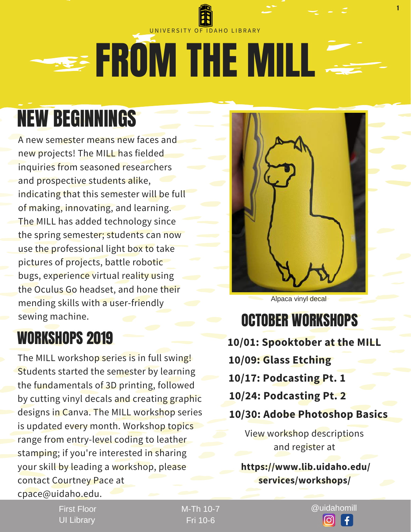

## NEW BEGINNINGS

A new semester means new faces and new projects! The MILL has fielded inquiries from seasoned researchers and prospective students alike, indicating that this semester will be full of making, innovating, and learning. The MILL has added technology since the spring semester; students can now use the professional light box to take pictures of projects, battle robotic bugs, experience virtual reality using the Oculus Go headset, and hone their mending skills with a user-friendly sewing machine.

## WORKSHOPS 2019

The MILL workshop series is in full swing! Students started the semester by learning the fundamentals of 3D printing, followed by cutting vinyl decals and creating graphic designs in Canva. The MILL workshop series is updated every month. Workshop topics range from entry-level coding to leather stamping; if you're interested in sharing your skill by leading a workshop, please contact Courtney Pace at cpace@uidaho.edu.



Alpaca vinyl decal

### OCTOBER WORKSHOPS

- **10/01: Spooktober at the MILL 10/09: Glass Etching 10/17: Podcasting Pt. 1 10/24: Podcasting Pt. 2**
- **10/30: Adobe Photoshop Basics**

View workshop descriptions and register at

**https://www.lib.uidaho.edu/ services/workshops/**

First Floor UI Library

Fri 10-6